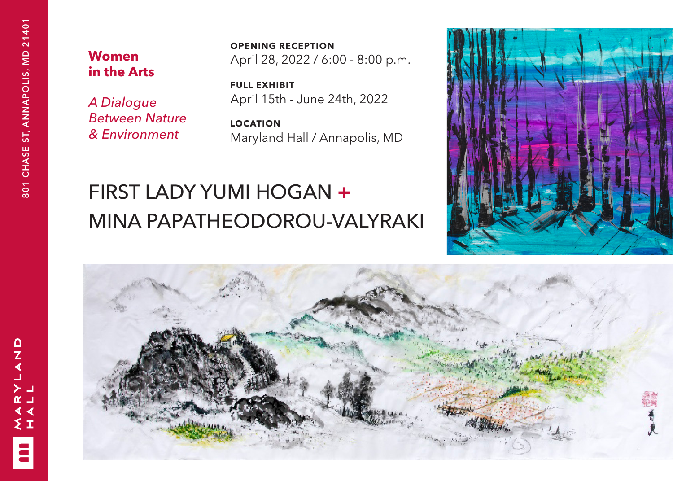$\Omega$  $\frac{1}{4}$ 

źΙ

 $\ddot{\phantom{a}}$ 

## **Women in the Arts**

*A Dialogue Between Nature & Environment*

**OPENING RECEPTION** April 28, 2022 / 6:00 - 8:00 p.m.

**FULL EXHIBIT** April 15th - June 24th, 2022

**LOCATION** Maryland Hall / Annapolis, MD

# FIRST LADY YUMI HOGAN **+** MINA PAPATHEODOROU-VALYRAKI